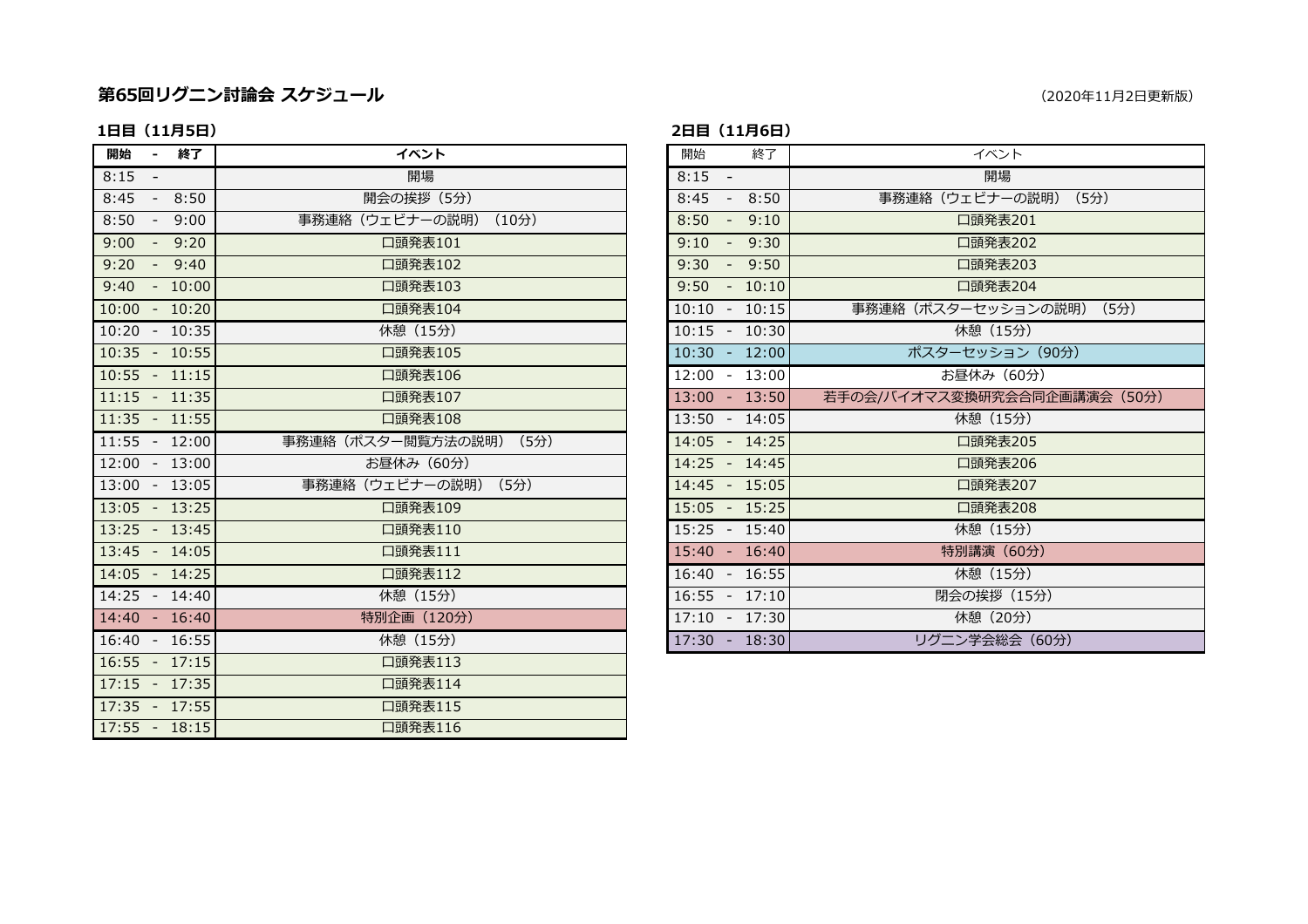### 第65回リクニン討論会 スケジュ

### 1日目 (11月5日)

| 開始<br>- 終了      | イベント                   | 開始<br>終了        | イベント                       |
|-----------------|------------------------|-----------------|----------------------------|
| $8:15 -$        | 開場                     | $8:15 -$        | 開場                         |
| $8:45 - 8:50$   | 開会の挨拶 (5分)             | $8:45 - 8:50$   | 事務連絡 (ウェビナーの説明) (5分)       |
| $8:50 - 9:00$   | 事務連絡 (ウェビナーの説明) (10分)  | $8:50 - 9:10$   | 口頭発表201                    |
| $9:00 - 9:20$   | 口頭発表101                | $9:10 - 9:30$   | 口頭発表202                    |
| $9:20 - 9:40$   | 口頭発表102                | $9:30 - 9:50$   | 口頭発表203                    |
| $9:40 - 10:00$  | 口頭発表103                | $9:50 - 10:10$  | 口頭発表204                    |
| $10:00 - 10:20$ | 口頭発表104                | $10:10 - 10:15$ | 事務連絡(ポスターセッションの説明) (5分)    |
| $10:20 - 10:35$ | 休憩 (15分)               | $10:15 - 10:30$ | 休憩 (15分)                   |
| $10:35 - 10:55$ | 口頭発表105                | $10:30 - 12:00$ | ポスターセッション (90分)            |
| $10:55 - 11:15$ | 口頭発表106                | $12:00 - 13:00$ | お昼休み (60分)                 |
| $11:15 - 11:35$ | 口頭発表107                | $13:00 - 13:50$ | 若手の会/バイオマス変換研究会合同企画講演会 (50 |
| $11:35 - 11:55$ | 口頭発表108                | 13:50 - 14:05   | 休憩 (15分)                   |
| $11:55 - 12:00$ | 事務連絡(ポスター閲覧方法の説明) (5分) | 14:05 - 14:25   | 口頭発表205                    |
| 12:00 - 13:00   | お昼休み (60分)             | 14:25 - 14:45   | 口頭発表206                    |
| $13:00 - 13:05$ | 事務連絡 (ウェビナーの説明) (5分)   | $14:45 - 15:05$ | 口頭発表207                    |
| $13:05 - 13:25$ | 口頭発表109                | 15:05 - 15:25   | 口頭発表208                    |
| $13:25 - 13:45$ | 口頭発表110                | $15:25 - 15:40$ | 休憩 (15分)                   |
| $13:45 - 14:05$ | 口頭発表111                | $15:40 - 16:40$ | 特別講演 (60分)                 |
| $14:05 - 14:25$ | 口頭発表112                | $16:40 - 16:55$ | 休憩 (15分)                   |
| 14:25 - 14:40   | 休憩 (15分)               | $16:55 - 17:10$ | 閉会の挨拶 (15分)                |
| 14:40 - 16:40   | 特別企画 (120分)            | 17:10 - 17:30   | 休憩 (20分)                   |
| 16:40 - 16:55   | 休憩 (15分)               | $17:30 - 18:30$ | リグニン学会総会 (60分)             |
| $16:55 - 17:15$ | 口頭発表113                |                 |                            |
| $17:15 - 17:35$ | 口頭発表114                |                 |                            |
| $17:35 - 17:55$ | 口頭発表115                |                 |                            |
| $17:55 - 18:15$ | 口頭発表116                |                 |                            |

#### (2020年11月2日更新版)

### 2日目 (11月6日)

| ベント                         | 終了<br>開始                   | イベント                         |
|-----------------------------|----------------------------|------------------------------|
| 開場                          | $8:15 -$                   | 開場                           |
| 矣拶 (5分)                     | 8:45<br>8:50<br>$\sim$ $-$ | 事務連絡 (ウェビナーの説明) (5分)         |
| <del>ナ</del> ーの説明)<br>(10分) | 8:50<br>$-9:10$            | 口頭発表201                      |
| 発表101                       | 9:10<br>$-9:30$            | 口頭発表202                      |
| 発表102                       | 9:30<br>$-9:50$            | 口頭発表203                      |
| 発表103                       | $9:50 - 10:10$             | 口頭発表204                      |
| 発表104                       | $10:10 - 10:15$            | 事務連絡 (ポスターセッションの説明) (5分)     |
| (15)                        | $10:15 - 10:30$            | 休憩 (15分)                     |
| 発表105                       | $10:30 - 12:00$            | ポスターセッション (90分)              |
| 発表106                       | $12:00 - 13:00$            | お昼休み (60分)                   |
| 発表107                       | $13:00 - 13:50$            | 若手の会/バイオマス変換研究会合同企画講演会 (50分) |
| 発表108                       | 13:50 - 14:05              | 休憩 (15分)                     |
| 覧方法の説明)<br>(5分)             | $14:05 - 14:25$            | 口頭発表205                      |
| み(60分)                      | 14:25 - 14:45              | 口頭発表206                      |
| ナーの説明)<br>(5分)              | $14:45 - 15:05$            | 口頭発表207                      |
| 発表109                       | $15:05 - 15:25$            | 口頭発表208                      |
| 発表110                       | $15:25 - 15:40$            | 休憩 (15分)                     |
| 発表111                       | $15:40 - 16:40$            | 特別講演 (60分)                   |
| 発表112                       | $16:40 - 16:55$            | 休憩 (15分)                     |
| (15)                        | $16:55 - 17:10$            | 閉会の挨拶 (15分)                  |
| 1 (120分)                    | $17:10 - 17:30$            | 休憩 (20分)                     |
| (15分)                       | $17:30 - 18:30$            | リグニン学会総会 (60分)               |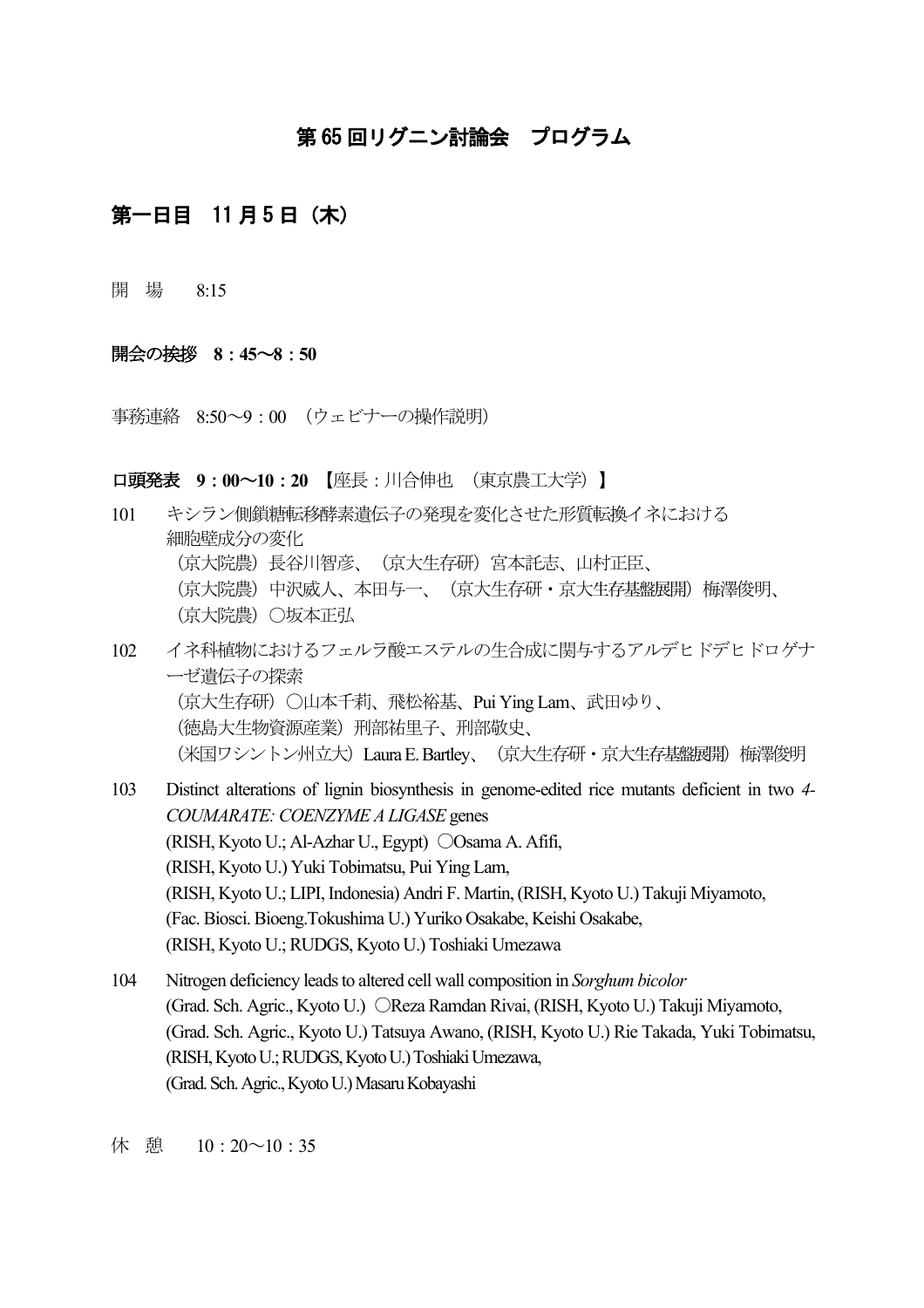# 第65回リグニン討論会 プログラム

## 第一日目 11 月5日(木)

開 場 8:15

### 開会の挨拶 8:45~8:50

事務連絡 8:50~9:00 (ウェビナーの操作説明)

#### **口頭発表 9:00~10:20 【座長:川合伸也 (東京農工大学)】**

- 101 キシラン側鎖糖転移酵素遺伝子の発現を変化させた形質転換イネにおける 細胞壁成分の変化 (京大院農) 長谷川智彦、 (京大生存研) 宮本託志、山村正臣、 (京大院農) 中沢威人、本田与一、(京大生存研·京大生存基盤展開) 梅澤俊明、 (京大院農) ○坂本正弘 102 イネ科植物におけるフェルラ酸エステルの生合成に関与するアルデヒドデヒドロゲナ ーゼ遺伝子の探索
	- (京大生存研)○山本千莉、飛松裕基、Pui Ying Lam、武田ゆり、 (徳島大生物資源産業) 刑部祐里子、刑部敬史、 (米国ワシントン州立大) Laura E. Bartley、(京大生存研・京大生存基盤展開) 梅澤俊明
- 103 Distinct alterations of lignin biosynthesis in genome-edited rice mutants deficient in two *4- COUMARATE: COENZYME A LIGASE* genes (RISH, Kyoto U.; Al-Azhar U., Egypt) Osama A. Afifi, (RISH, Kyoto U.) Yuki Tobimatsu, Pui Ying Lam, (RISH, Kyoto U.; LIPI, Indonesia) Andri F. Martin, (RISH, Kyoto U.) Takuji Miyamoto, (Fac. Biosci. Bioeng.Tokushima U.) Yuriko Osakabe, Keishi Osakabe, (RISH, Kyoto U.;RUDGS, Kyoto U.) Toshiaki Umezawa
- 104 Nitrogen deficiency leads to altered cell wall composition in *Sorghum bicolor* (Grad. Sch. Agric., Kyoto U.) OReza Ramdan Rivai, (RISH, Kyoto U.) Takuji Miyamoto, (Grad. Sch. Agric., Kyoto U.) Tatsuya Awano, (RISH, Kyoto U.) Rie Takada, Yuki Tobimatsu, (RISH, Kyoto U.;RUDGS, Kyoto U.) Toshiaki Umezawa, (Grad. Sch. Agric., Kyoto U.) Masaru Kobayashi

休憩 10:20~10:35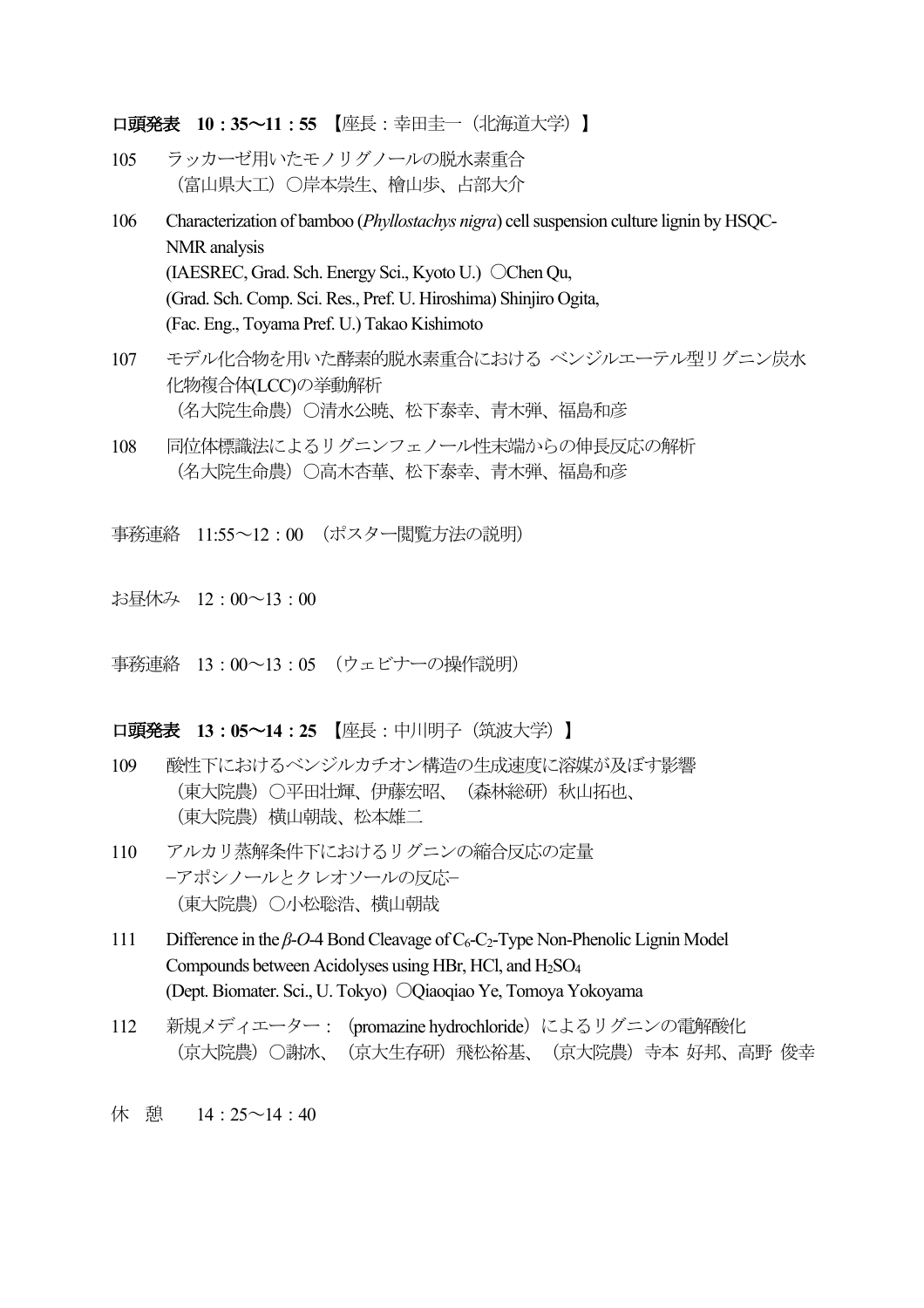**口頭発表 10:35∼11:55 【座長:幸田圭一(北海道大学)】** 

- 105 ラッカーゼ用いたモノリグノールの脱水素重合 (富山県大工)○岸本崇生、檜山歩、占部大介
- 106 Characterization of bamboo (*Phyllostachys nigra*) cell suspension culture lignin by HSQC-NMR analysis (IAESREC, Grad. Sch. Energy Sci., Kyoto U.) Chen Qu, (Grad. Sch. Comp. Sci. Res., Pref. U. Hiroshima) Shinjiro Ogita, (Fac. Eng., Toyama Pref. U.) Takao Kishimoto
- 107 モデル化合物を用いた酵素的脱水素重合における ベンジルエーテル型リグニン炭水 化物複合体(LCC)の挙動解析 (名大院生命農) ○清水公暁、松下泰幸、青木弾、福島和彦
- 108 同位体標識法によるリグニンフェノール性末端からの伸長反応の解析 (名大院生命農)○高木杏華、松下泰幸、青木弾、福島和彦
- 事務連絡 11:55~12:00 (ポスター閲覧方法の説明)
- お昼休み 12:00~13:00
- 事務連絡 13:00~13:05 (ウェビナーの操作説明)

#### **口頭発表 13:05∼14:25 【座長:中川明子(筑波大学)】**

- 109 酸性下におけるベンジルカチオン構造の生成速度に溶媒が及ぼす影響 (東大院農) 〇平田壮輝、伊藤宏昭、 (森林総研) 秋山拓也、 (東大院農)横山朝哉、松本雄二
- 110 アルカリ蒸解条件下におけるリグニンの縮合反応の定量 −アポシノールとクレオソールの反応− (東大院農)○小松聡浩、横山朝哉
- 111 Difference in the *β-O-*4 Bond Cleavage of C<sub>6</sub>-C<sub>2</sub>-Type Non-Phenolic Lignin Model Compounds between Acidolyses using HBr, HCl, and H<sub>2SO4</sub> (Dept. Biomater. Sci., U. Tokyo) Qiaoqiao Ye, Tomoya Yokoyama
- 112 新規メディエーター: (promazine hydrochloride) によるリグニンの電解酸化 (京大院農) ○謝冰、 (京大生存研) 飛松裕基、 (京大院農) 寺本 好邦、高野 俊幸
- 休 憩 14 : 25 ~ 14 : 40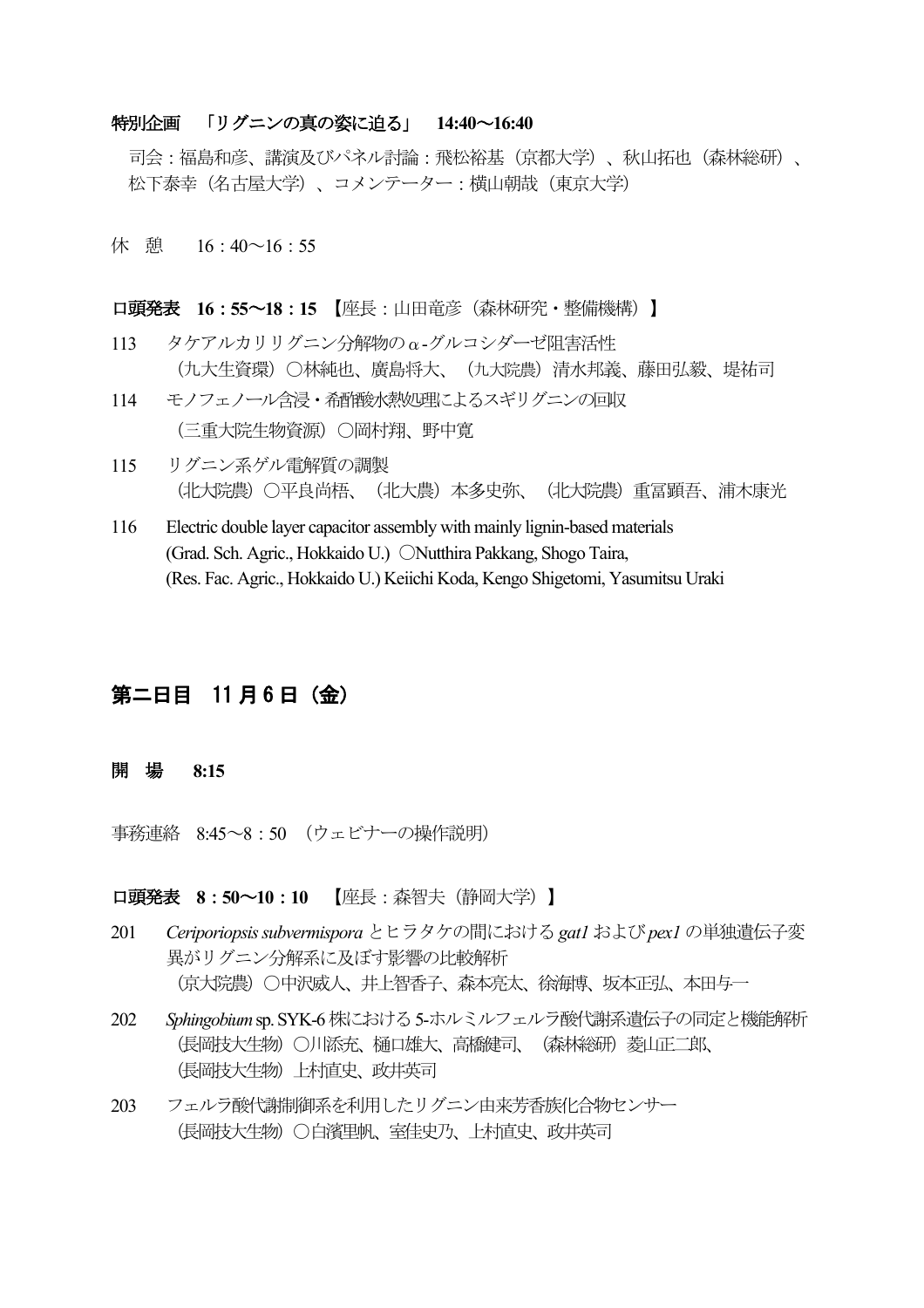### 特別企画 「リグニンの真の姿に迫る」 14:40~16:40

司会:福島和彦、講演及びパネル討論:飛松裕基 (京都大学)、秋山拓也 (森林総研)、 松下泰幸 (名古屋大学)、コメンテーター:構山朝哉 (東京大学)

休憩 16:40~16:55

**口頭発表 16:55∼18:15 【座長:山田竜彦(森林研究・整備機構)】** 

- 113 タケアルカリリグニン分解物のα-グルコシダーゼ阻害活性 (九大生資環)〇林純也、廣島将大、(九大院農)清水邦義、藤田弘毅、堤祐司
- 114 モノフェノール含浸·希哲酸水熱処理によるスギリグニンの回収 (三重大院生物資源) ○岡村翔、野中寛
- 115 リグニン系ゲル雷解質の調製 (北大院農)〇平良尚梧、 (北大農) 本多史弥、 (北大院農) 重冨顕吾、浦木康光
- 116 Electric double layer capacitor assembly with mainly lignin-based materials (Grad. Sch. Agric., Hokkaido U.) ONutthira Pakkang, Shogo Taira, (Res. Fac. Agric., Hokkaido U.) Keiichi Koda, Kengo Shigetomi, Yasumitsu Uraki

## 第二日目 11月6日(金)

#### ȭ Í **8:15**

事務連絡 8:45~8:50 (ウェビナーの操作説明)

□頭発表 8:50∼10:10 【座長:森智夫 (静岡大学)】

- 201 Ceriporiopsis subvermispora とヒラタケの間における gat1 および pex1 の単独遺伝子変 異がリグニン分解系に及ぼす影響の比較解析 (京大院農)○中沢威人、井上智香子、森本亮太、徐海博、坂本正弘、本田与一
- 202 Sphingobium sp. SYK-6 株における 5-ホルミルフェルラ酸代謝系遺伝子の同定と機能解析 (長岡技大生物)○川添充、樋口雄大、高橋健司、 (森林総研) 菱山正二郎、 (長岡技大生物) 上村直史、政井英司
- 203 フェルラ酸代謝制御系を利用したリグニン由来芳香族化合物センサー (長岡技大生物) ○白濱里帆、室佳史乃、上村直史、政井英司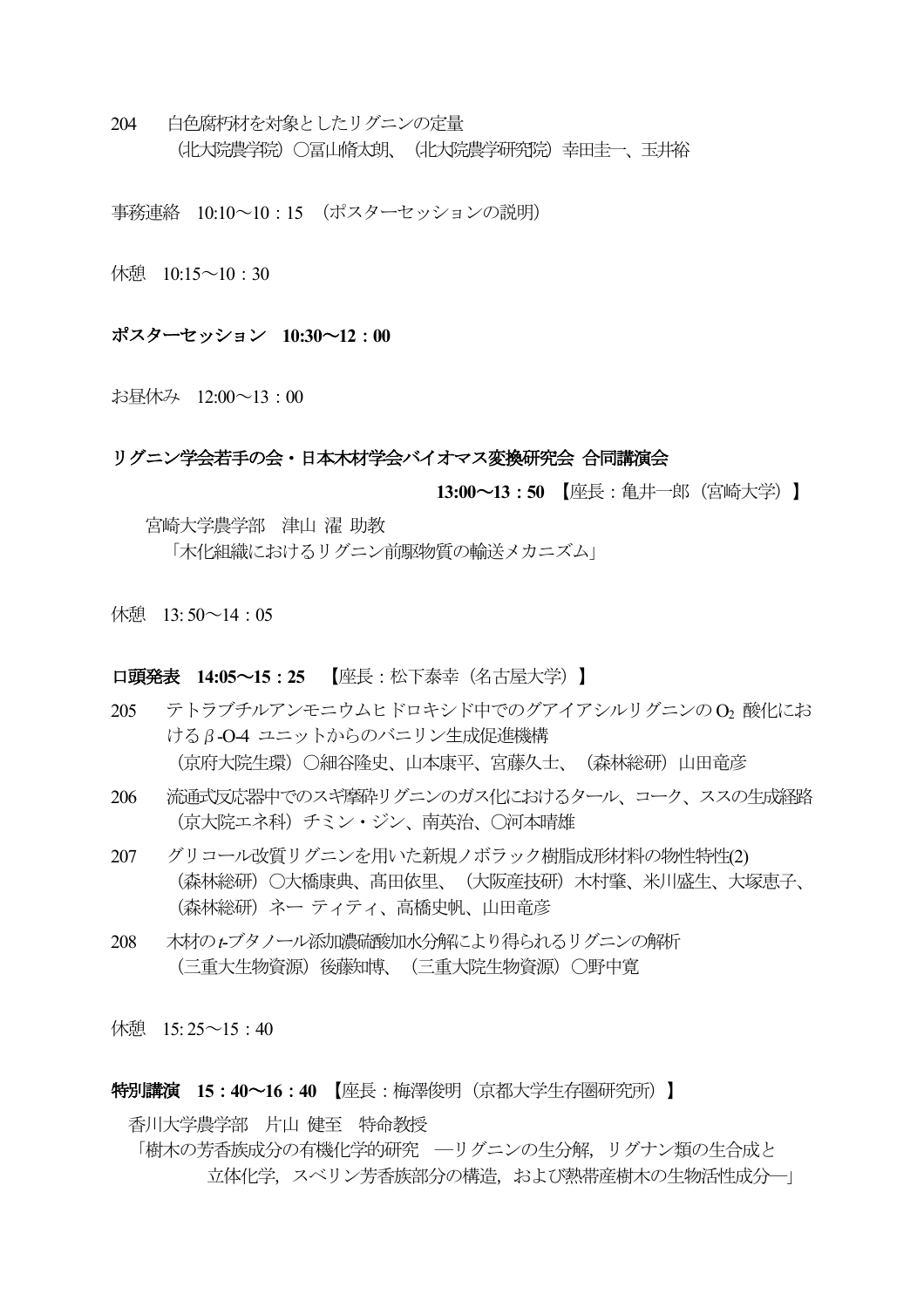204 白色腐朽材を対象としたリグニンの定量 (北大院農学院) 〇冨山脩太朗、 (北大院農学研究院) 幸田圭一、玉井裕

事務連絡 10:10~10:15 (ポスターセッションの説明)

休憩  $10:15 \sim 10:30$ 

ポスターセッション 10:30~12:00

お昼休み 12:00~13:00

#### リグニン学会若手の会・日本木材学会バイオマス変換研究会 合同講演会

13:00~13:50 【座長:亀井一郎 (宮崎大学)】

宮崎大学農学部 津山 濯 助教 「木化組織におけるリグニン前駆物質の輸送メカニズム」

休憩 13:50~14:05

#### 口頭発表 14:05~15:25 【座長:松下泰幸(名古屋大学)】

- 205 テトラブチルアンモニウムヒドロキシド中でのグアイアシルリグニンの Op 酸化にお ける β-0-4 ユニットからのバニリン生成促進機構 (京府大院生環) 〇細谷降史、山本康平、宮藤久士、 (森林総研) 山田竜彦
- 流通式反応器中でのスギ摩砕リグニンのガス化におけるタール、コーク、ススの生成経路 206 (京大院エネ科) チミン・ジン、南英治、 〇河本晴雄
- 207 グリコール改質リグニンを用いた新規ノボラック樹脂成形材料の物性特性(2) (森林総研) 〇大橋康典、髙田依里、 (大阪産技研) 木村肇、米川盛生、大塚恵子、 (森林総研) ネー ティティ、高橋史帆、山田竜彦
- 木材のょブタノール添加濃硫酸加水分解により得られるリグニンの解析 208 (三重大生物資源) 後藤知博、 (三重大院生物資源) 〇野中寛

休憩 15:25~15:40

#### 特別講演 15:40~16:40 【座長:梅澤俊明 (京都大学生存圏研究所) 】

香川大学農学部 片山 健至 特命教授

「樹木の芳香族成分の有機化学的研究 ––リグニンの生分解、リグナン類の生合成と 立体化学、スベリン芳香族部分の構造、および熱帯産樹木の生物活性成分―」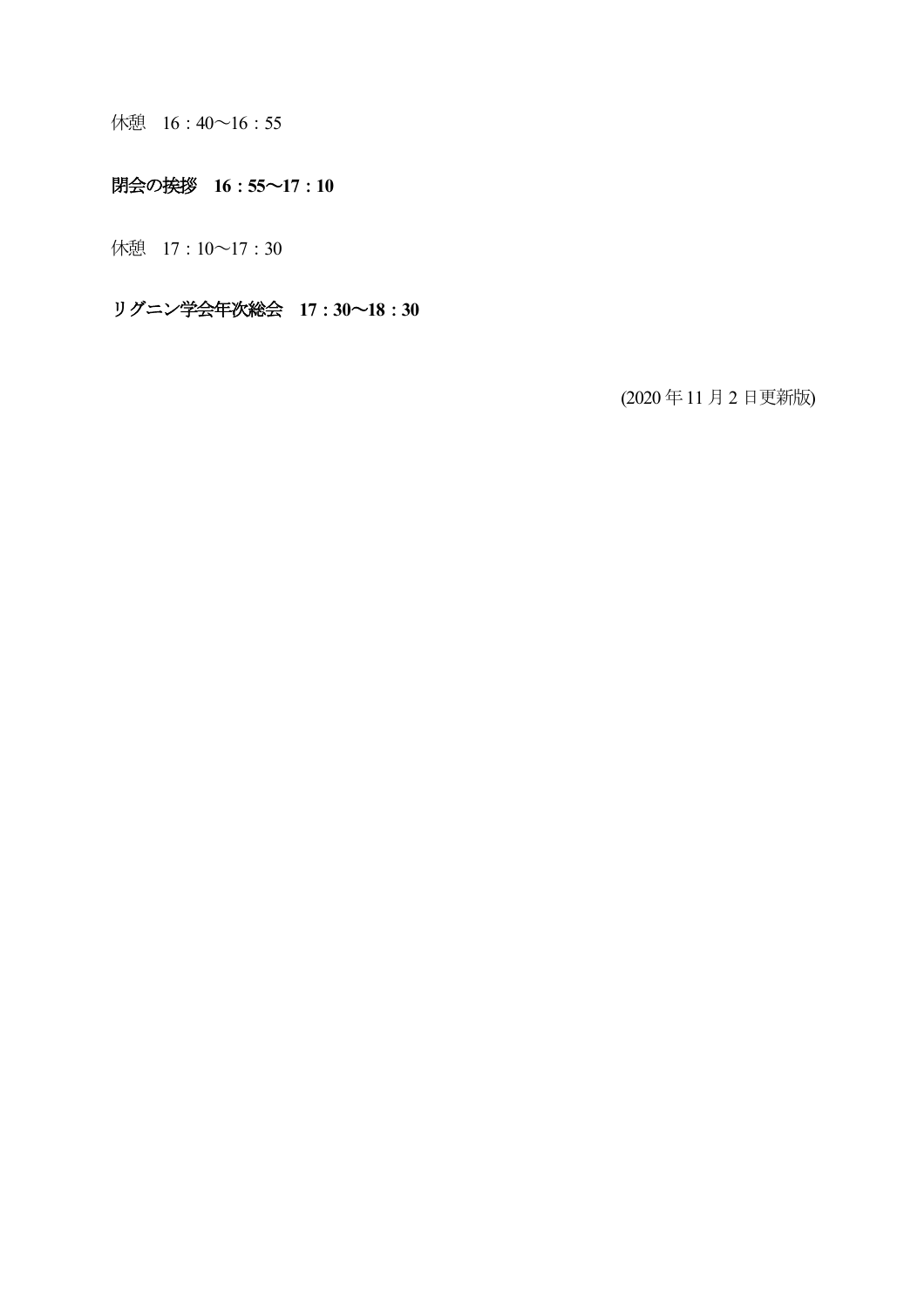休憩 16:40~16:55

### 閉会の挨拶 16:55~17:10

休憩 17:10~17:30

リグニン学会年次総会 17:30~18:30

(2020年11月2日更新版)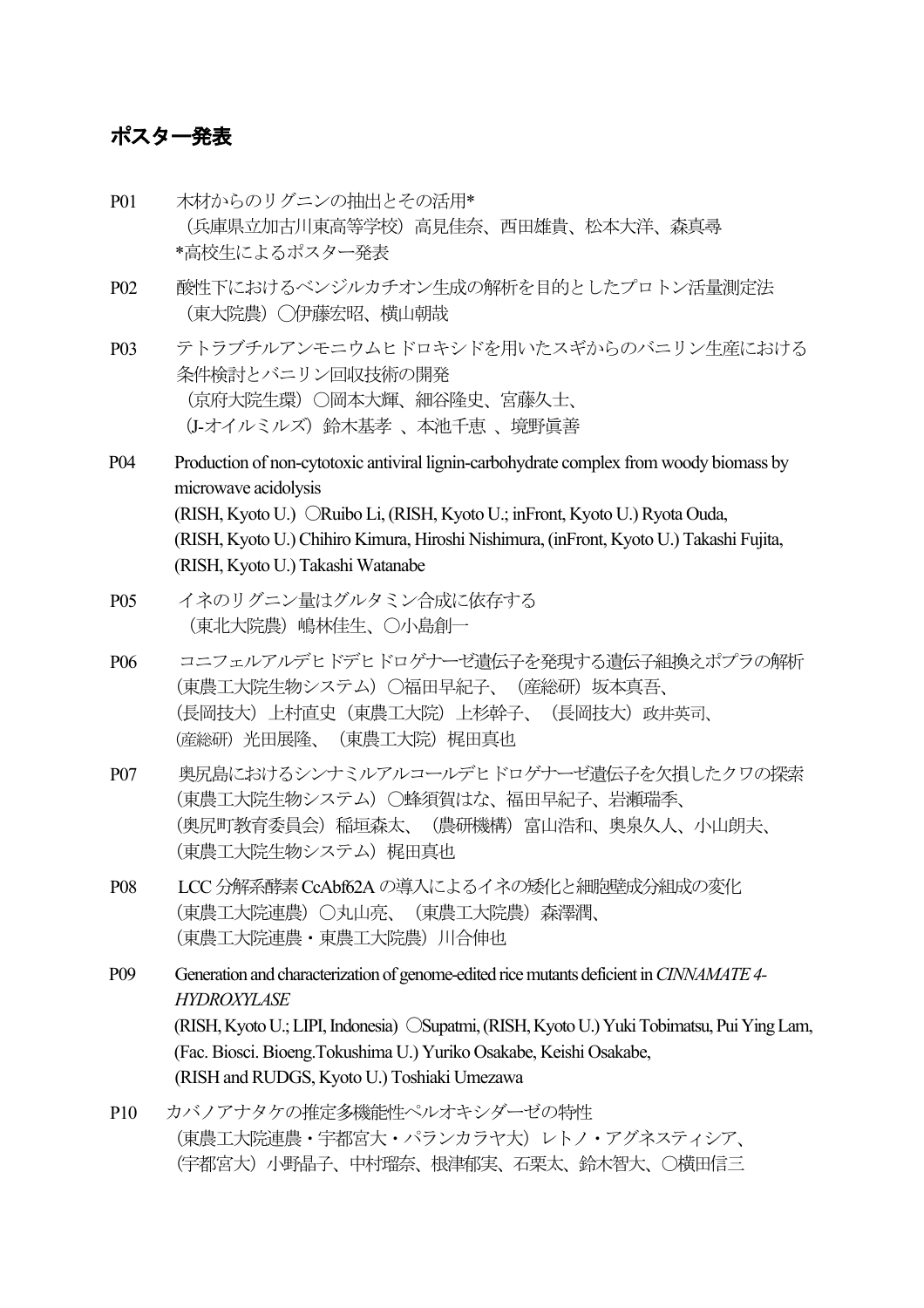## ポスター発表

- P01 木材からのリグニンの抽出とその活用\* (兵庫県立加古川東高等学校)高見佳奈、西田雄貴、松本大洋、森真尋 \*高校生によるポスター発表
- P02 酸性下におけるベンジルカチオン生成の解析を目的としたプロトン活量測定法 (東大院農)◯伊藤宏昭、横山朝哉
- P03 テトラブチルアンモニウムヒドロキシドを用いたスギからのバニリン生産における 条件検討とバニリン回収技術の開発 (京府大院生環)○岡本大輝、細谷隆史、宮藤久士、 (J-オイルミルズ)鈴木基孝 、本池千恵 、境野眞善
- P04 Production of non-cytotoxic antiviral lignin-carbohydrate complex from woody biomass by microwave acidolysis (RISH, Kyoto U.) ○Ruibo Li, (RISH, Kyoto U.; inFront, Kyoto U.) Ryota Ouda, (RISH, Kyoto U.) Chihiro Kimura, Hiroshi Nishimura, (inFront, Kyoto U.) Takashi Fujita, (RISH, Kyoto U.) Takashi Watanabe
- P05 イネのリグニン量はグルタミン合成に依存する (東北大院農)嶋林佳生、〇小島創一
- P06 コニフェルアルデヒドデヒドロゲナーゼ遺伝子を発現する遺伝子組換えポプラの解析 (東農工大院生物システム)〇福田早紀子、(産総研)坂本真吾、 (長岡技大)上村直史(東農工大院)上杉幹子、(長岡技大)政井英司、 (産総研)光田展隆、(東農工大院)梶田真也
- P07 奥尻島におけるシンナミルアルコールデヒドロゲナーゼ遺伝子を欠損したクワの探索 (東農工大院生物システム)〇蜂須賀はな、福田早紀子、岩瀬瑞季、 (奥尻町教育委員会) 稲垣森太、(農研機構) 富山浩和、奥泉久人、小山朗夫、 (東農工大院生物システム)梶田真也
- P08 LCC 分解系酵素 CcAbf62A の導入によるイネの矮化と細胞壁成分組成の変化 (東農工大院連農)〇丸山亮、(東農工大院農)森澤潤、 (東農工大院連農・東農工大院農)川合伸也
- P09 Generation and characterization of genome-edited rice mutants deficient in *CINNAMATE 4- HYDROXYLASE* (RISH, Kyoto U.; LIPI, Indonesia) 〇Supatmi, (RISH, Kyoto U.) Yuki Tobimatsu, Pui Ying Lam, (Fac. Biosci. Bioeng.Tokushima U.) Yuriko Osakabe, Keishi Osakabe, (RISH and RUDGS, Kyoto U.) Toshiaki Umezawa
- P10 カバノアナタケの推定多機能性ペルオキシダーゼの特性 (東農工大院連農・宇都宮大・パランカラヤ大)レトノ・アグネスティシア、 (宇都宮大)小野晶子、中村瑠奈、根津郁実、石栗太、鈴木智大、○横田信三